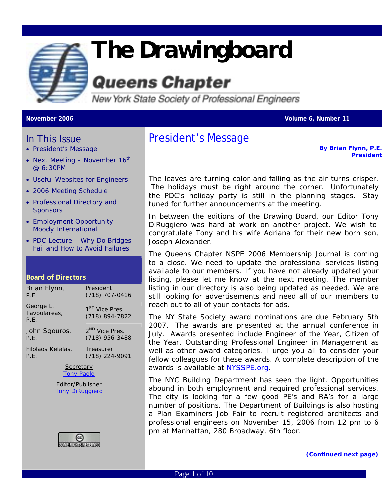

# *The Drawingboard*

## **Queens Chapter**

New York State Society of Professional Engineers

**November 2006 Volume 6, Number 11** 

### In This Issue

- President's Message
- Next Meeting November  $16<sup>th</sup>$ @ 6:30PM
- [Useful Websites for Engineers](#page-2-0)
- 2006 Meeting Schedule
- Professional Directory and **Sponsors**
- Employment Opportunity -- Moody International
- PDC Lecture Why Do Bridges Fail and How to Avoid Failures

#### **Board of Directors**

| Brian Flynn,                      | President                                    |  |
|-----------------------------------|----------------------------------------------|--|
| P.E.                              | $(718)$ 707-0416                             |  |
| George L.<br>Tavoulareas,<br>P.E. | 1 <sup>ST</sup> Vice Pres.<br>(718) 894-7822 |  |
| John Sgouros,                     | 2 <sup>ND</sup> Vice Pres.                   |  |
| P.E.                              | $(718)$ 956-3488                             |  |
| Filolaos Kefalas,                 | Treasurer                                    |  |
| P.E.                              | (718) 224-9091                               |  |
| Constrain                         |                                              |  |



Editor/Publisher [Tony DiRuggiero](mailto:avd706@aol.com?subject=FEEDBACK:APRIL%20)



## President's Message

*By Brian Flynn, P.E. President*

The leaves are turning color and falling as the air turns crisper. The holidays must be right around the corner. Unfortunately the PDC's holiday party is still in the planning stages. Stay tuned for further announcements at the meeting.

In between the editions of the Drawing Board, our Editor Tony DiRuggiero was hard at work on another project. We wish to congratulate Tony and his wife Adriana for their new born son, Joseph Alexander.

The Queens Chapter NSPE 2006 Membership Journal is coming to a close. We need to update the professional services listing available to our members. If you have not already updated your listing, please let me know at the next meeting. The member listing in our directory is also being updated as needed. We are still looking for advertisements and need all of our members to reach out to all of your contacts for ads.

The NY State Society award nominations are due February 5th 2007. The awards are presented at the annual conference in July. Awards presented include Engineer of the Year, Citizen of the Year, Outstanding Professional Engineer in Management as well as other award categories. I urge you all to consider your fellow colleagues for these awards. A complete description of the awards is available at [NYSSPE.org.](http://www.nysspe.org/)

The NYC Building Department has seen the light. Opportunities abound in both employment and required professional services. The city is looking for a few good PE's and RA's for a large number of positions. The Department of Buildings is also hosting a Plan Examiners Job Fair to recruit registered architects and professional engineers on November 15, 2006 from 12 pm to 6 pm at Manhattan, 280 Broadway, 6th floor.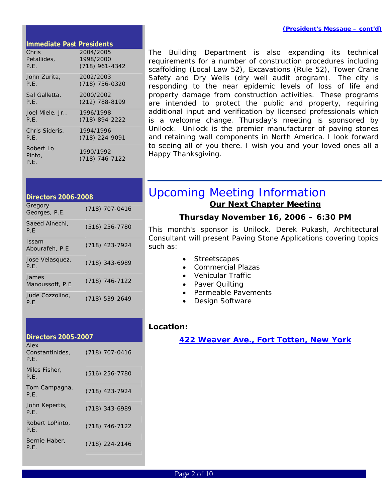#### <span id="page-1-0"></span>**Immediate Past Presidents**

| Chris                       | 2004/2005                     |
|-----------------------------|-------------------------------|
| Petallides,                 | 1998/2000                     |
| P.F.                        | $(718)$ 961-4342              |
| John Zurita,                | 2002/2003                     |
| P.E.                        | (718) 756-0320                |
| Sal Galletta,               | 2000/2002                     |
| P.E.                        | $(212)$ 788-8199              |
| Joel Miele, Jr.,            | 1996/1998                     |
| P.E.                        | (718) 894-2222                |
| Chris Sideris,              | 1994/1996                     |
| P.E.                        | (718) 224-9091                |
| Robert Lo<br>Pinto,<br>P.E. | 1990/1992<br>$(718)$ 746-7122 |

The Building Department is also expanding its technical requirements for a number of construction procedures including scaffolding (Local Law 52), Excavations (Rule 52), Tower Crane Safety and Dry Wells (dry well audit program). The city is responding to the near epidemic levels of loss of life and property damage from construction activities. These programs are intended to protect the public and property, requiring additional input and verification by licensed professionals which is a welcome change. Thursday's meeting is sponsored by Unilock. Unilock is the premier manufacturer of paving stones and retaining wall components in North America. I look forward to seeing all of you there. I wish you and your loved ones all a Happy Thanksgiving.

| <b>Directors 2006-2008</b> |                  |
|----------------------------|------------------|
| Gregory<br>Georges, P.E.   | (718) 707-0416   |
| Saeed Ainechi,<br>P.F      | $(516)$ 256-7780 |
| Issam<br>Abourafeh, P.E    | $(718)$ 423-7924 |
| Jose Velasquez,<br>P.E.    | $(718)$ 343-6989 |
| James<br>Manoussoff, P.E.  | $(718)$ 746-7122 |
| Jude Cozzolino.<br>P.F     | (718) 539-2649   |

| <b>Directors 2005-2007</b>      |                  |  |
|---------------------------------|------------------|--|
| Alex<br>Constantinides,<br>P.F. | $(718)$ 707-0416 |  |
| Miles Fisher.<br>P.F.           | $(516)$ 256-7780 |  |
| Tom Campagna,<br>P.E.           | (718) 423-7924   |  |
| John Kepertis,<br>P.F.          | (718) 343-6989   |  |
| Robert LoPinto.<br>P.E.         | $(718)$ 746-7122 |  |
| Bernie Haber,<br>P.E.           | (718) 224-2146   |  |
|                                 |                  |  |

## Upcoming Meeting Information *Our Next Chapter Meeting*

#### *Thursday November 16, 2006 – 6:30 PM*

This month's sponsor is Unilock. Derek Pukash, Architectural Consultant will present Paving Stone Applications covering topics such as:

- Streetscapes
- Commercial Plazas
- Vehicular Traffic
- Paver Quilting
- Permeable Pavements
- Design Software

#### *Location:*

*[422 Weaver Ave., Fort Totten, New York](http://maps.google.com/maps?f=q&hl=en&q=professional+design+center,+422+weaver+avenue,+11359&om=1&ll=40.790614,-73.788171&spn=0.016278,0.029268&t=h)*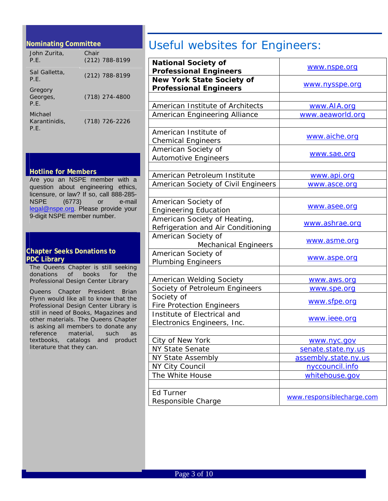#### <span id="page-2-0"></span>**Nominating Committee**

| John Zurita,<br>P.F.             | Chair<br>$(212)$ 788-8199 |
|----------------------------------|---------------------------|
| Sal Galletta,<br>P.F.            | $(212)$ 788-8199          |
| Gregory<br>Georges,<br>P.F.      | (718) 274-4800            |
| Michael<br>Karantinidis,<br>P.E. | (718) 726-2226            |

#### **Hotline for Members**

Are you an NSPE member with a question about engineering ethics, licensure, or law? If so, call 888-285- NSPE (6773) or e-mail [legal@nspe.org](mailto:legal@nspe.org). Please provide your 9-digit NSPE member number.

#### **Chapter Seeks Donations to PDC Library**

The Queens Chapter is still seeking donations of books for the Professional Design Center Library

Queens Chapter President Brian Flynn would like all to know that the Professional Design Center Library is still in need of Books, Magazines and other materials. The Queens Chapter is asking all members to donate any reference material, such as textbooks, catalogs and product literature that they can.

## Useful websites for Engineers:

| <b>National Society of</b><br><b>Professional Engineers</b>                          | www.nspe.org              |  |  |
|--------------------------------------------------------------------------------------|---------------------------|--|--|
| <b>New York State Society of</b>                                                     |                           |  |  |
| <b>Professional Engineers</b>                                                        | www.nysspe.org            |  |  |
|                                                                                      |                           |  |  |
| American Institute of Architects                                                     | www.AIA.org               |  |  |
| American Engineering Alliance                                                        | www.aeaworld.org          |  |  |
|                                                                                      |                           |  |  |
| American Institute of<br><b>Chemical Engineers</b>                                   | www.aiche.org             |  |  |
| American Society of<br><b>Automotive Engineers</b>                                   | www.sae.org               |  |  |
|                                                                                      |                           |  |  |
| American Petroleum Institute                                                         | www.api.org               |  |  |
| American Society of Civil Engineers                                                  | www.asce.org              |  |  |
|                                                                                      |                           |  |  |
| American Society of                                                                  |                           |  |  |
| <b>Engineering Education</b>                                                         | www.asee.org              |  |  |
| American Society of Heating,<br>www.ashrae.org<br>Refrigeration and Air Conditioning |                           |  |  |
| American Society of<br><b>Mechanical Engineers</b>                                   | www.asme.org              |  |  |
| American Society of<br><b>Plumbing Engineers</b>                                     | www.aspe.org              |  |  |
|                                                                                      |                           |  |  |
| American Welding Society                                                             | www.aws.org               |  |  |
| Society of Petroleum Engineers                                                       | www.spe.org               |  |  |
| Society of<br><b>Fire Protection Engineers</b>                                       | www.sfpe.org              |  |  |
| Institute of Electrical and<br>Electronics Engineers, Inc.                           | www.ieee.org              |  |  |
|                                                                                      |                           |  |  |
| City of New York                                                                     | www.nyc.gov               |  |  |
| <b>NY State Senate</b>                                                               | senate.state.ny.us        |  |  |
| <b>NY State Assembly</b>                                                             | assembly.state.ny.us      |  |  |
| NY City Council                                                                      | nyccouncil.info           |  |  |
| The White House                                                                      | whitehouse.gov            |  |  |
|                                                                                      |                           |  |  |
| Ed Turner<br>Responsible Charge                                                      | www.responsiblecharge.com |  |  |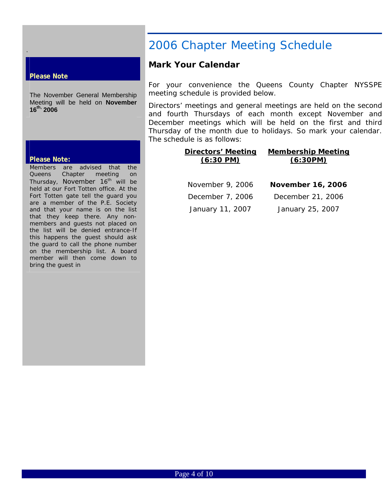#### **Please Note**

<span id="page-3-0"></span>.

The November General Membership Meeting will be held on **November 16th, 2006**

#### **Please Note:**

Members are advised that the Queens Chapter meeting on Thursday, November 16<sup>th</sup> will be held at our Fort Totten office. At the Fort Totten gate tell the guard you are a member of the P.E. Society and that your name is on the list that they keep there. Any nonmembers and guests not placed on the list will be denied entrance-If this happens the guest should ask the guard to call the phone number on the membership list. A board member will then come down to bring the guest in

## 2006 Chapter Meeting Schedule

#### **Mark Your Calendar**

For your convenience the Queens County Chapter NYSSPE meeting schedule is provided below.

Directors' meetings and general meetings are held on the second and fourth Thursdays of each month except November and December meetings which will be held on the first and third Thursday of the month due to holidays. So mark your calendar. The schedule is as follows:

#### **Directors' Meeting (6:30 PM) Membership Meeting (6:30PM)**

| November 9, 2006 | <b>November 16, 2006</b> |
|------------------|--------------------------|
| December 7, 2006 | December 21, 2006        |
| January 11, 2007 | January 25, 2007         |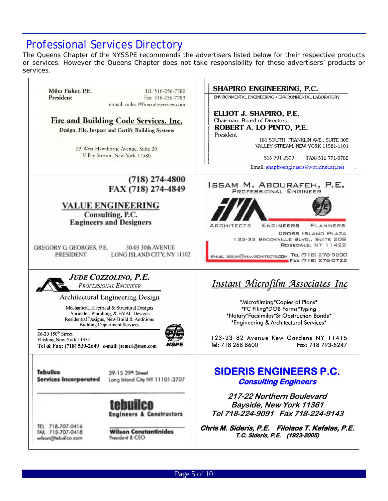## Professional Services Directory

The Queens Chapter of the NYSSPE recommends the advertisers listed below for their respective products or services. However the Queens Chapter does not take responsibility for these advertisers' products or services.

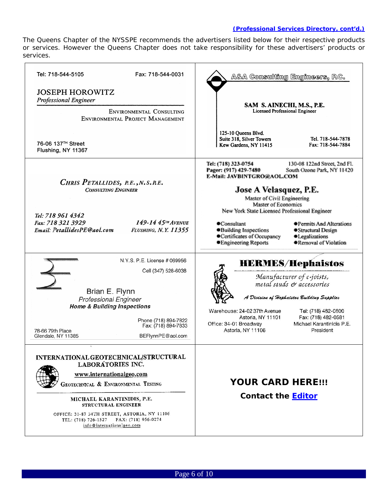#### *(Professional Services Directory, cont'd.)*

The Queens Chapter of the NYSSPE recommends the advertisers listed below for their respective products or services. However the Queens Chapter does not take responsibility for these advertisers' products or services.

| Tel: 718-544-5105<br>Fax: 718-544-0031                                                                                                                                                                                                                                                                             | A&A Consulting Engineers, P.C.                                                                                                                                                                                                                                                                                                                                                                                                                                       |
|--------------------------------------------------------------------------------------------------------------------------------------------------------------------------------------------------------------------------------------------------------------------------------------------------------------------|----------------------------------------------------------------------------------------------------------------------------------------------------------------------------------------------------------------------------------------------------------------------------------------------------------------------------------------------------------------------------------------------------------------------------------------------------------------------|
| <b>JOSEPH HOROWITZ</b><br><b>Professional Engineer</b><br>ENVIRONMENTAL CONSULTING<br>ENVIRONMENTAL PROJECT MANAGEMENT                                                                                                                                                                                             | SAM S. AINECHI, M.S., P.E.<br>Licensed Professional Engineer                                                                                                                                                                                                                                                                                                                                                                                                         |
| 76-06 137 <sup>TH</sup> Street<br>Flushing, NY 11367                                                                                                                                                                                                                                                               | 125-10 Queens Blvd.<br>Suite 318, Silver Towers<br>Tel. 718-544-7878<br>Kew Gardens, NY 11415<br>Fax: 718-544-7884                                                                                                                                                                                                                                                                                                                                                   |
| CHRIS PETALLIDES, RE., N.S.RE.<br><b>CONSULTING ENGINEER</b><br>Tel: 718 961 4342<br>$149 - 1445$ <sup>TH</sup> AVENUE<br>Fax: 718 321 3929<br>Email: PetallidesPE@aol.com<br><b>FLUSHING, N.Y. 11355</b>                                                                                                          | Tel: (718) 323-0754<br>130-08 122nd Street, 2nd Fl.<br>Pager: (917) 429-7480<br>South Ozone Park, NY 11420<br>E-Mail: JAVBINTGRO@AOL.COM<br>Jose A Velasquez, P.E.<br>Master of Civil Engineering<br>Master of Economics<br>New York State Licensed Professional Engineer<br>Consultant<br>●Permits And Alterations<br>●Building Inspections<br>● Structural Design<br>·Certificates of Occupancy<br>·Legalizations<br>●Engineering Reports<br>●Removal of Violation |
| N.Y.S. P.E. License # 069956<br>Cell (347) 528-6038<br>Brian E. Flynn<br><b>Professional Engineer</b><br><b>Home &amp; Building Inspections</b><br>Phone (718) 894-7822<br>Fax: (718) 894-7833<br>78-66 79th Place<br>BEFlynnPE@aol.com<br>Glendale, NY 11385                                                      | <b>HERMES/Hephaistos</b><br>Manufacturer of c-joists,<br>metal studs & accessories<br>A Division of Hephaistos Building Supplies<br>Warehouse: 24-02 37th Avenue<br>Tel: (718) 482-0800<br>Fax: (718) 482-0581<br>Astoria, NY 11101<br>Michael Karantinidis P.E.<br>Office: 34-01 Broadway<br>Astoria, NY 11106<br>President                                                                                                                                         |
| INTERNATIONAL GEOTECHNICAL/STRUCTURAL<br><b>LABORATORIES INC.</b><br>www.internationalgeo.com<br>GEOTECHNICAL & ENVIRONMENTAL TESTING<br>MICHAEL KARANTINIDIS, P.E.<br>STRUCTURAL ENGINEER<br>OFFICE: 31-87 34TH STREET, ASTORIA, NY 11106<br>TEL: (718) 726-1527 FAX: (718) 956-0274<br>info@internationalgeo.com | <i><b>YOUR CARD HERE!!!</b></i><br><b>Contact the Editor</b>                                                                                                                                                                                                                                                                                                                                                                                                         |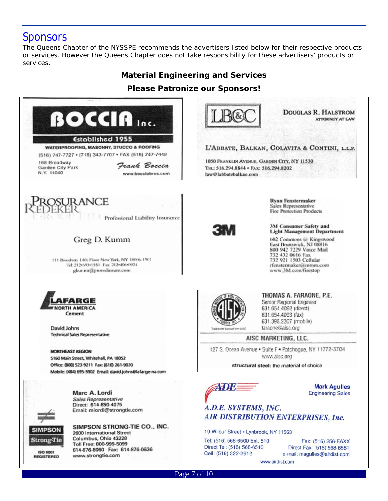## **Sponsors**

The Queens Chapter of the NYSSPE recommends the advertisers listed below for their respective products or services. However the Queens Chapter does not take responsibility for these advertisers' products or services.

### *Material Engineering and Services*

**Please Patronize our Sponsors!** 

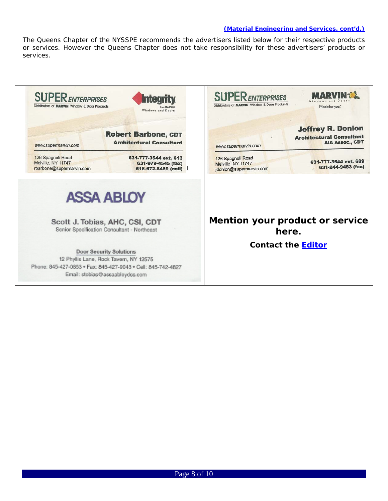#### *(Material Engineering and Services, cont'd.)*

The Queens Chapter of the NYSSPE recommends the advertisers listed below for their respective products or services. However the Queens Chapter does not take responsibility for these advertisers' products or services.

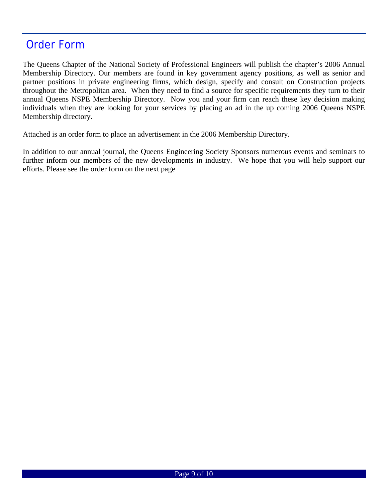## Order Form

The Queens Chapter of the National Society of Professional Engineers will publish the chapter's 2006 Annual Membership Directory. Our members are found in key government agency positions, as well as senior and partner positions in private engineering firms, which design, specify and consult on Construction projects throughout the Metropolitan area. When they need to find a source for specific requirements they turn to their annual Queens NSPE Membership Directory. Now you and your firm can reach these key decision making individuals when they are looking for your services by placing an ad in the up coming 2006 Queens NSPE Membership directory.

Attached is an order form to place an advertisement in the 2006 Membership Directory.

In addition to our annual journal, the Queens Engineering Society Sponsors numerous events and seminars to further inform our members of the new developments in industry. We hope that you will help support our efforts. Please see the order form on the next page